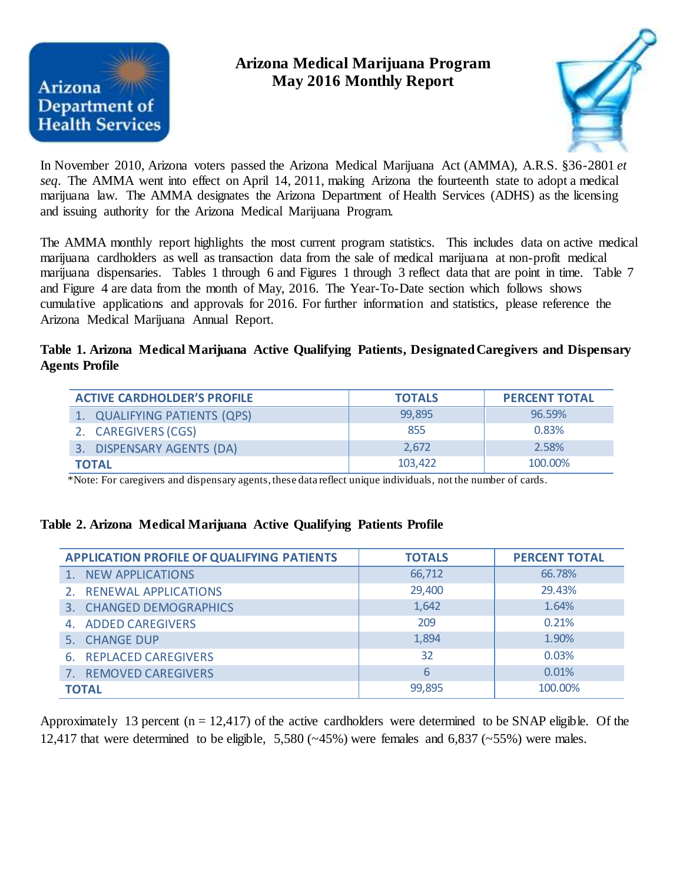

# **Arizona Medical Marijuana Program May 2016 Monthly Report**



In November 2010, Arizona voters passed the Arizona Medical Marijuana Act (AMMA), A.R.S. §36-2801 *et seq*. The AMMA went into effect on April 14, 2011, making Arizona the fourteenth state to adopt a medical marijuana law. The AMMA designates the Arizona Department of Health Services (ADHS) as the licensing and issuing authority for the Arizona Medical Marijuana Program.

The AMMA monthly report highlights the most current program statistics. This includes data on active medical marijuana cardholders as well as transaction data from the sale of medical marijuana at non-profit medical marijuana dispensaries. Tables 1 through 6 and Figures 1 through 3 reflect data that are point in time. Table 7 and Figure 4 are data from the month of May, 2016. The Year-To-Date section which follows shows cumulative applications and approvals for 2016. For further information and statistics, please reference the Arizona Medical Marijuana Annual Report.

## **Table 1. Arizona Medical Marijuana Active Qualifying Patients, Designated Caregivers and Dispensary Agents Profile**

| <b>ACTIVE CARDHOLDER'S PROFILE</b> | <b>TOTALS</b> | <b>PERCENT TOTAL</b> |
|------------------------------------|---------------|----------------------|
| 1. QUALIFYING PATIENTS (QPS)       | 99.895        | 96.59%               |
| 2. CAREGIVERS (CGS)                | 855           | 0.83%                |
| 3. DISPENSARY AGENTS (DA)          | 2.672         | 2.58%                |
| <b>TOTAL</b>                       | 103,422       | 100.00%              |

\*Note: For caregivers and dispensary agents, these data reflect unique individuals, not the number of cards.

## **Table 2. Arizona Medical Marijuana Active Qualifying Patients Profile**

| <b>APPLICATION PROFILE OF QUALIFYING PATIENTS</b> | <b>TOTALS</b> | <b>PERCENT TOTAL</b> |
|---------------------------------------------------|---------------|----------------------|
| 1. NEW APPLICATIONS                               | 66,712        | 66.78%               |
| 2. RENEWAL APPLICATIONS                           | 29,400        | 29.43%               |
| 3. CHANGED DEMOGRAPHICS                           | 1,642         | 1.64%                |
| 4. ADDED CAREGIVERS                               | 209           | 0.21%                |
| 5. CHANGE DUP                                     | 1,894         | 1.90%                |
| 6. REPLACED CAREGIVERS                            | 32            | 0.03%                |
| 7. REMOVED CAREGIVERS                             | 6             | 0.01%                |
| <b>TOTAL</b>                                      | 99,895        | 100.00%              |

Approximately 13 percent  $(n = 12, 417)$  of the active cardholders were determined to be SNAP eligible. Of the 12,417 that were determined to be eligible,  $5,580$  ( $\sim$ 45%) were females and 6,837 ( $\sim$ 55%) were males.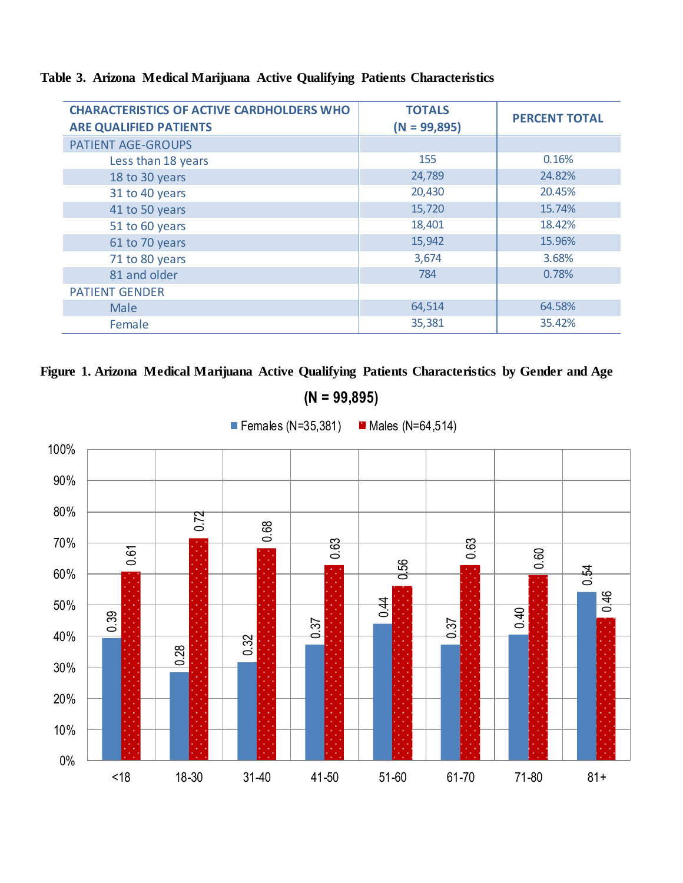| <b>CHARACTERISTICS OF ACTIVE CARDHOLDERS WHO</b><br><b>ARE QUALIFIED PATIENTS</b> | <b>TOTALS</b><br>$(N = 99,895)$ | <b>PERCENT TOTAL</b> |
|-----------------------------------------------------------------------------------|---------------------------------|----------------------|
| <b>PATIENT AGE-GROUPS</b>                                                         |                                 |                      |
| Less than 18 years                                                                | 155                             | 0.16%                |
| 18 to 30 years                                                                    | 24,789                          | 24.82%               |
| 31 to 40 years                                                                    | 20,430                          | 20.45%               |
| 41 to 50 years                                                                    | 15,720                          | 15.74%               |
| 51 to 60 years                                                                    | 18,401                          | 18.42%               |
| 61 to 70 years                                                                    | 15,942                          | 15.96%               |
| 71 to 80 years                                                                    | 3,674                           | 3.68%                |
| 81 and older                                                                      | 784                             | 0.78%                |
| <b>PATIENT GENDER</b>                                                             |                                 |                      |
| <b>Male</b>                                                                       | 64,514                          | 64.58%               |
| Female                                                                            | 35,381                          | 35.42%               |

# **Table 3. Arizona Medical Marijuana Active Qualifying Patients Characteristics**





**(N = 99,895)**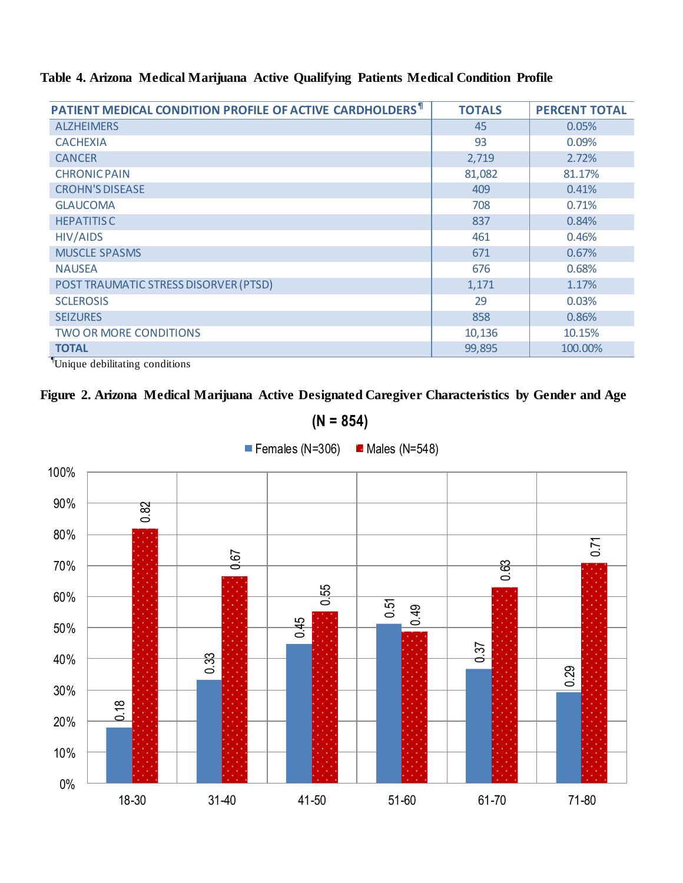# **Table 4. Arizona Medical Marijuana Active Qualifying Patients Medical Condition Profile**

| PATIENT MEDICAL CONDITION PROFILE OF ACTIVE CARDHOLDERS <sup>1</sup> | <b>TOTALS</b> | <b>PERCENT TOTAL</b> |
|----------------------------------------------------------------------|---------------|----------------------|
| <b>ALZHEIMERS</b>                                                    | 45            | 0.05%                |
| <b>CACHEXIA</b>                                                      | 93            | 0.09%                |
| <b>CANCER</b>                                                        | 2,719         | 2.72%                |
| <b>CHRONIC PAIN</b>                                                  | 81,082        | 81.17%               |
| <b>CROHN'S DISEASE</b>                                               | 409           | 0.41%                |
| <b>GLAUCOMA</b>                                                      | 708           | 0.71%                |
| <b>HEPATITIS C</b>                                                   | 837           | 0.84%                |
| <b>HIV/AIDS</b>                                                      | 461           | 0.46%                |
| <b>MUSCLE SPASMS</b>                                                 | 671           | 0.67%                |
| <b>NAUSEA</b>                                                        | 676           | 0.68%                |
| POST TRAUMATIC STRESS DISORVER (PTSD)                                | 1,171         | 1.17%                |
| <b>SCLEROSIS</b>                                                     | 29            | 0.03%                |
| <b>SEIZURES</b>                                                      | 858           | 0.86%                |
| <b>TWO OR MORE CONDITIONS</b>                                        | 10,136        | 10.15%               |
| <b>TOTAL</b><br>$\sqrt{2}$                                           | 99,895        | 100.00%              |

¶Unique debilitating conditions

# **Figure 2. Arizona Medical Marijuana Active Designated Caregiver Characteristics by Gender and Age**



**(N = 854)**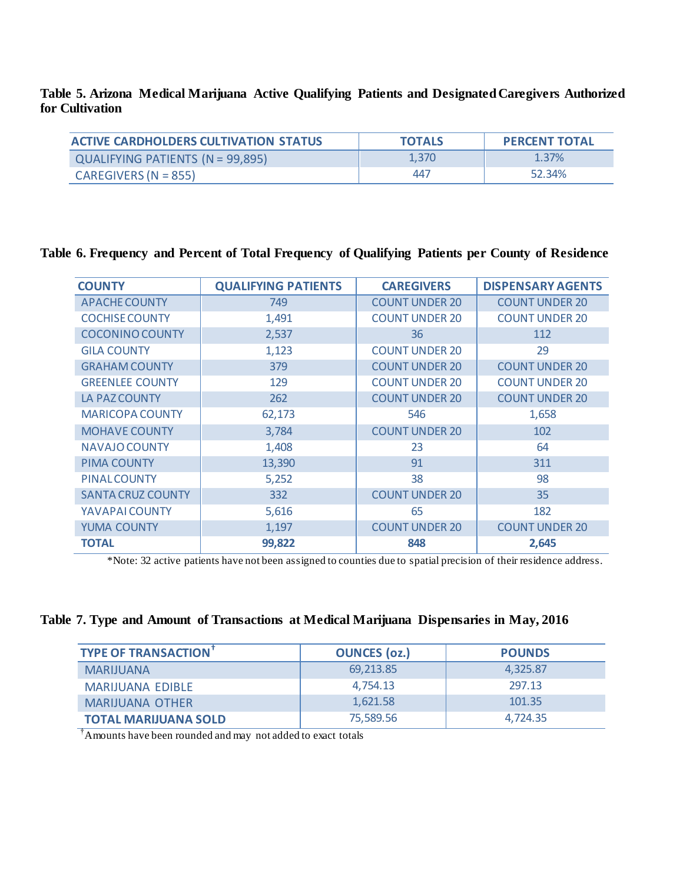#### **Table 5. Arizona Medical Marijuana Active Qualifying Patients and Designated Caregivers Authorized for Cultivation**

| <b>ACTIVE CARDHOLDERS CULTIVATION STATUS</b> | <b>TOTALS</b> | <b>PERCENT TOTAL</b> |
|----------------------------------------------|---------------|----------------------|
| QUALIFYING PATIENTS (N = 99,895)             | 1.370         | 1.37%                |
| CAREGIVERS (N = 855)                         | 447           | 52.34%               |

# **Table 6. Frequency and Percent of Total Frequency of Qualifying Patients per County of Residence**

| <b>COUNTY</b>            | <b>QUALIFYING PATIENTS</b> | <b>CAREGIVERS</b>     | <b>DISPENSARY AGENTS</b> |
|--------------------------|----------------------------|-----------------------|--------------------------|
| <b>APACHE COUNTY</b>     | 749                        | <b>COUNT UNDER 20</b> | <b>COUNT UNDER 20</b>    |
| <b>COCHISE COUNTY</b>    | 1,491                      | <b>COUNT UNDER 20</b> | <b>COUNT UNDER 20</b>    |
| <b>COCONINO COUNTY</b>   | 2,537                      | 36                    | 112                      |
| <b>GILA COUNTY</b>       | 1,123                      | <b>COUNT UNDER 20</b> | 29                       |
| <b>GRAHAM COUNTY</b>     | 379                        | <b>COUNT UNDER 20</b> | <b>COUNT UNDER 20</b>    |
| <b>GREENLEE COUNTY</b>   | 129                        | <b>COUNT UNDER 20</b> | <b>COUNT UNDER 20</b>    |
| LA PAZ COUNTY            | 262                        | <b>COUNT UNDER 20</b> | <b>COUNT UNDER 20</b>    |
| <b>MARICOPA COUNTY</b>   | 62,173                     | 546                   | 1,658                    |
| <b>MOHAVE COUNTY</b>     | 3,784                      | <b>COUNT UNDER 20</b> | 102                      |
| <b>NAVAJO COUNTY</b>     | 1,408                      | 23                    | 64                       |
| <b>PIMA COUNTY</b>       | 13,390                     | 91                    | 311                      |
| <b>PINALCOUNTY</b>       | 5,252                      | 38                    | 98                       |
| <b>SANTA CRUZ COUNTY</b> | 332                        | <b>COUNT UNDER 20</b> | 35                       |
| YAVAPAI COUNTY           | 5,616                      | 65                    | 182                      |
| <b>YUMA COUNTY</b>       | 1,197                      | <b>COUNT UNDER 20</b> | <b>COUNT UNDER 20</b>    |
| <b>TOTAL</b>             | 99,822                     | 848                   | 2,645                    |

\*Note: 32 active patients have not been assigned to counties due to spatial precision of their residence address.

#### **Table 7. Type and Amount of Transactions at Medical Marijuana Dispensaries in May, 2016**

| <b>TYPE OF TRANSACTION</b>  | <b>OUNCES (02.)</b> | <b>POUNDS</b> |
|-----------------------------|---------------------|---------------|
| <b>MARIJUANA</b>            | 69,213.85           | 4.325.87      |
| <b>MARIJUANA EDIBLE</b>     | 4,754.13            | 297.13        |
| <b>MARIJUANA OTHER</b>      | 1,621.58            | 101.35        |
| <b>TOTAL MARIJUANA SOLD</b> | 75,589.56           | 4.724.35      |

†Amounts have been rounded and may not added to exact totals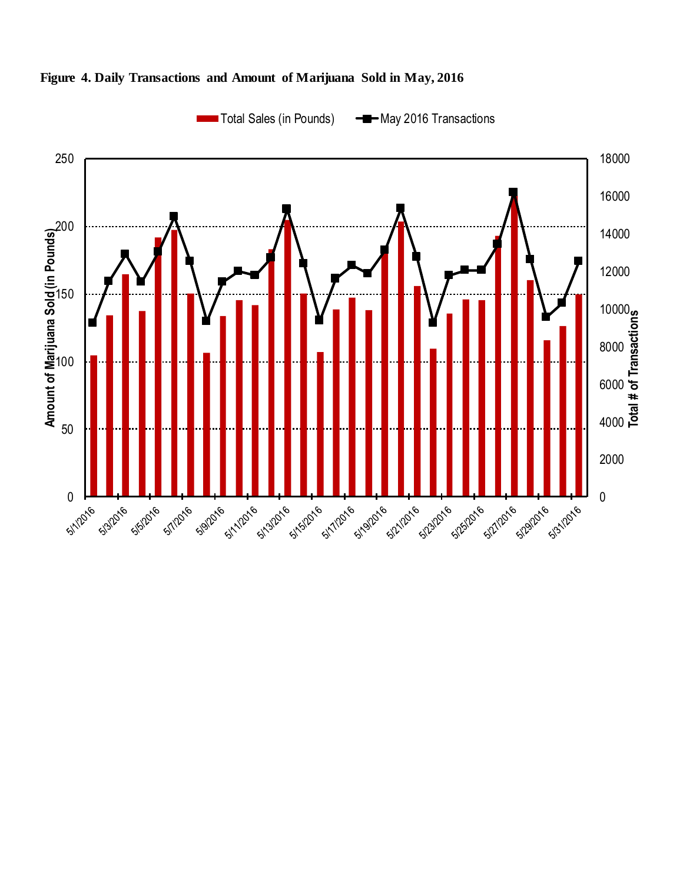

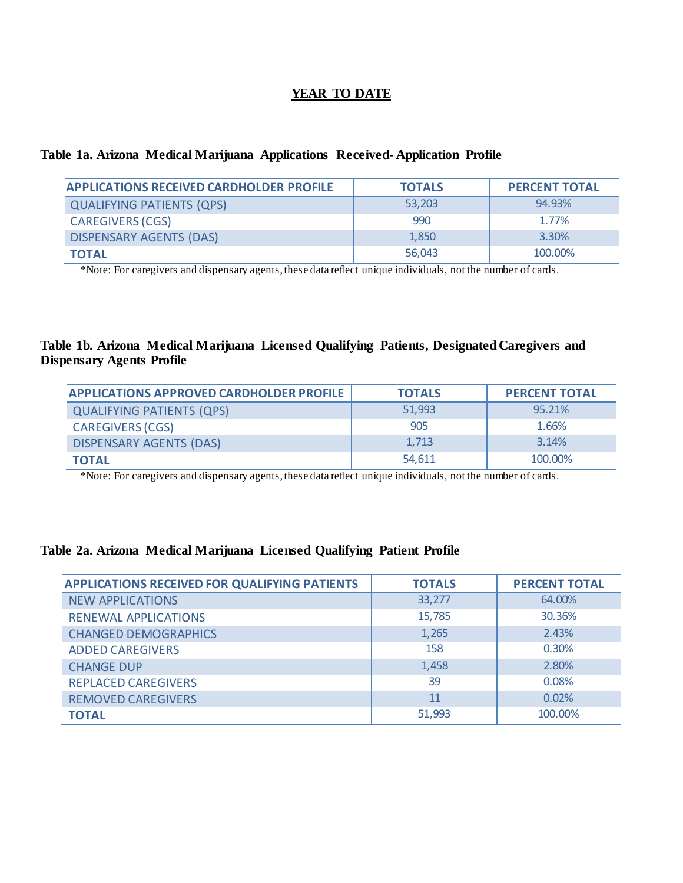## **YEAR TO DATE**

#### **Table 1a. Arizona Medical Marijuana Applications Received- Application Profile**

| <b>APPLICATIONS RECEIVED CARDHOLDER PROFILE</b> | <b>TOTALS</b> | <b>PERCENT TOTAL</b> |
|-------------------------------------------------|---------------|----------------------|
| <b>QUALIFYING PATIENTS (QPS)</b>                | 53,203        | 94.93%               |
| <b>CAREGIVERS (CGS)</b>                         | 990           | 1.77%                |
| <b>DISPENSARY AGENTS (DAS)</b>                  | 1.850         | 3.30%                |
| <b>TOTAL</b>                                    | 56,043        | 100.00%              |

\*Note: For caregivers and dispensary agents, these data reflect unique individuals, not the number of cards.

#### **Table 1b. Arizona Medical Marijuana Licensed Qualifying Patients, Designated Caregivers and Dispensary Agents Profile**

| <b>APPLICATIONS APPROVED CARDHOLDER PROFILE</b> | <b>TOTALS</b> | <b>PERCENT TOTAL</b> |
|-------------------------------------------------|---------------|----------------------|
| <b>QUALIFYING PATIENTS (QPS)</b>                | 51,993        | 95.21%               |
| <b>CAREGIVERS (CGS)</b>                         | 905           | 1.66%                |
| <b>DISPENSARY AGENTS (DAS)</b>                  | 1,713         | 3.14%                |
| <b>TOTAL</b>                                    | 54,611        | 100.00%              |

\*Note: For caregivers and dispensary agents, these data reflect unique individuals, not the number of cards.

#### **Table 2a. Arizona Medical Marijuana Licensed Qualifying Patient Profile**

| <b>APPLICATIONS RECEIVED FOR QUALIFYING PATIENTS</b> | <b>TOTALS</b> | <b>PERCENT TOTAL</b> |
|------------------------------------------------------|---------------|----------------------|
| <b>NEW APPLICATIONS</b>                              | 33,277        | 64.00%               |
| <b>RENEWAL APPLICATIONS</b>                          | 15,785        | 30.36%               |
| <b>CHANGED DEMOGRAPHICS</b>                          | 1,265         | 2.43%                |
| <b>ADDED CAREGIVERS</b>                              | 158           | 0.30%                |
| <b>CHANGE DUP</b>                                    | 1,458         | 2.80%                |
| <b>REPLACED CAREGIVERS</b>                           | 39            | 0.08%                |
| <b>REMOVED CAREGIVERS</b>                            | 11            | 0.02%                |
| <b>TOTAL</b>                                         | 51,993        | 100.00%              |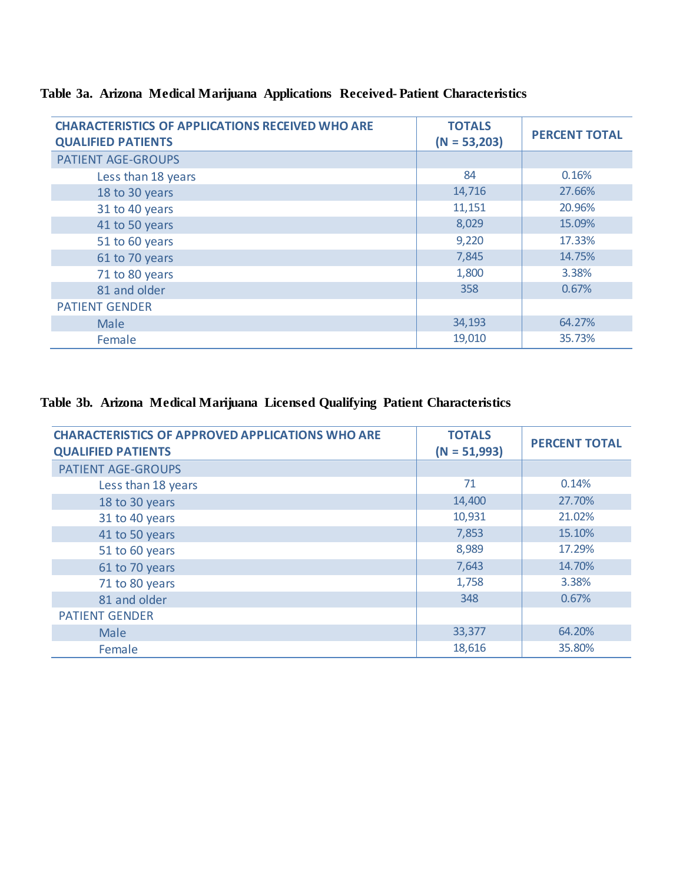| <b>CHARACTERISTICS OF APPLICATIONS RECEIVED WHO ARE</b><br><b>QUALIFIED PATIENTS</b> | <b>TOTALS</b><br>$(N = 53,203)$ | <b>PERCENT TOTAL</b> |
|--------------------------------------------------------------------------------------|---------------------------------|----------------------|
| <b>PATIENT AGE-GROUPS</b>                                                            |                                 |                      |
| Less than 18 years                                                                   | 84                              | 0.16%                |
| 18 to 30 years                                                                       | 14,716                          | 27.66%               |
| 31 to 40 years                                                                       | 11,151                          | 20.96%               |
| 41 to 50 years                                                                       | 8,029                           | 15.09%               |
| 51 to 60 years                                                                       | 9,220                           | 17.33%               |
| 61 to 70 years                                                                       | 7,845                           | 14.75%               |
| 71 to 80 years                                                                       | 1,800                           | 3.38%                |
| 81 and older                                                                         | 358                             | 0.67%                |
| <b>PATIENT GENDER</b>                                                                |                                 |                      |
| <b>Male</b>                                                                          | 34,193                          | 64.27%               |
| Female                                                                               | 19,010                          | 35.73%               |

# **Table 3a. Arizona Medical Marijuana Applications Received- Patient Characteristics**

# **Table 3b. Arizona Medical Marijuana Licensed Qualifying Patient Characteristics**

| <b>CHARACTERISTICS OF APPROVED APPLICATIONS WHO ARE</b><br><b>QUALIFIED PATIENTS</b> | <b>TOTALS</b><br>$(N = 51,993)$ | <b>PERCENT TOTAL</b> |
|--------------------------------------------------------------------------------------|---------------------------------|----------------------|
| PATIENT AGE-GROUPS                                                                   |                                 |                      |
| Less than 18 years                                                                   | 71                              | 0.14%                |
| 18 to 30 years                                                                       | 14,400                          | 27.70%               |
| 31 to 40 years                                                                       | 10,931                          | 21.02%               |
| 41 to 50 years                                                                       | 7,853                           | 15.10%               |
| 51 to 60 years                                                                       | 8,989                           | 17.29%               |
| 61 to 70 years                                                                       | 7,643                           | 14.70%               |
| 71 to 80 years                                                                       | 1,758                           | 3.38%                |
| 81 and older                                                                         | 348                             | 0.67%                |
| <b>PATIENT GENDER</b>                                                                |                                 |                      |
| Male                                                                                 | 33,377                          | 64.20%               |
| Female                                                                               | 18,616                          | 35.80%               |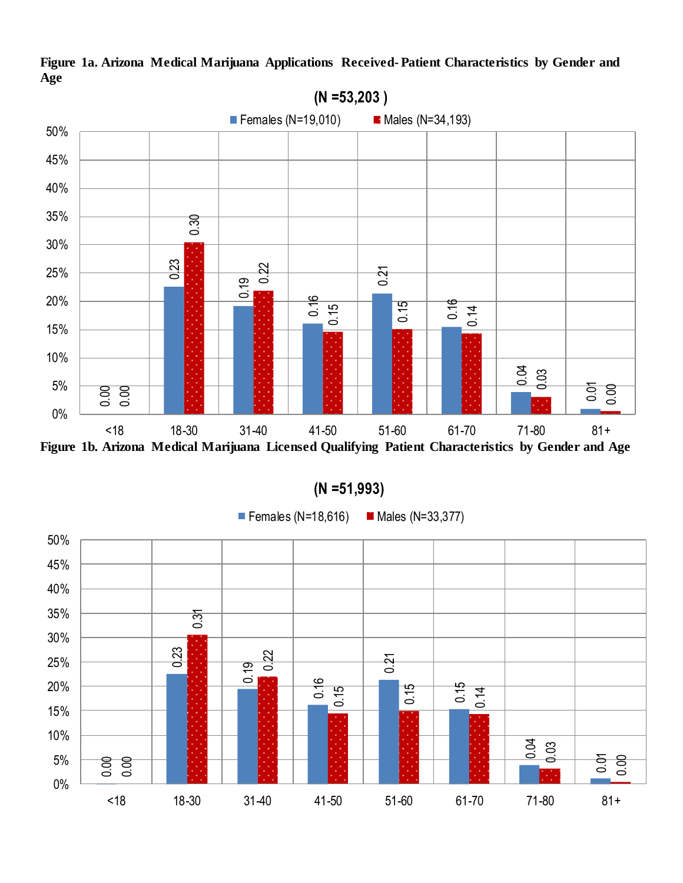

**Figure 1a. Arizona Medical Marijuana Applications Received- Patient Characteristics by Gender and Age**

|  | $(N = 51,993)$ |  |  |
|--|----------------|--|--|
|--|----------------|--|--|

Females (N=18,616) Males (N=33,377)

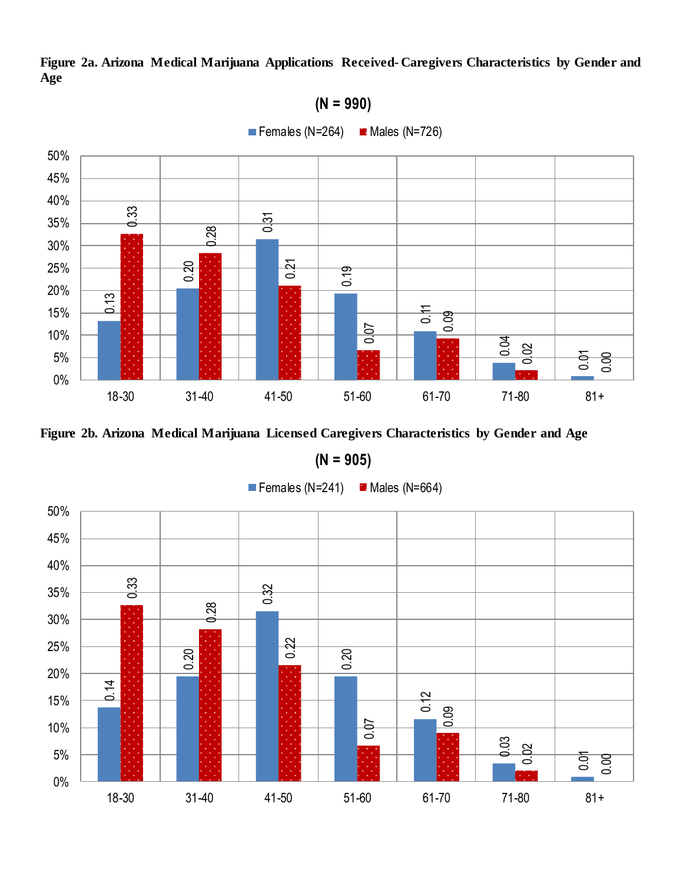



**(N = 905)**

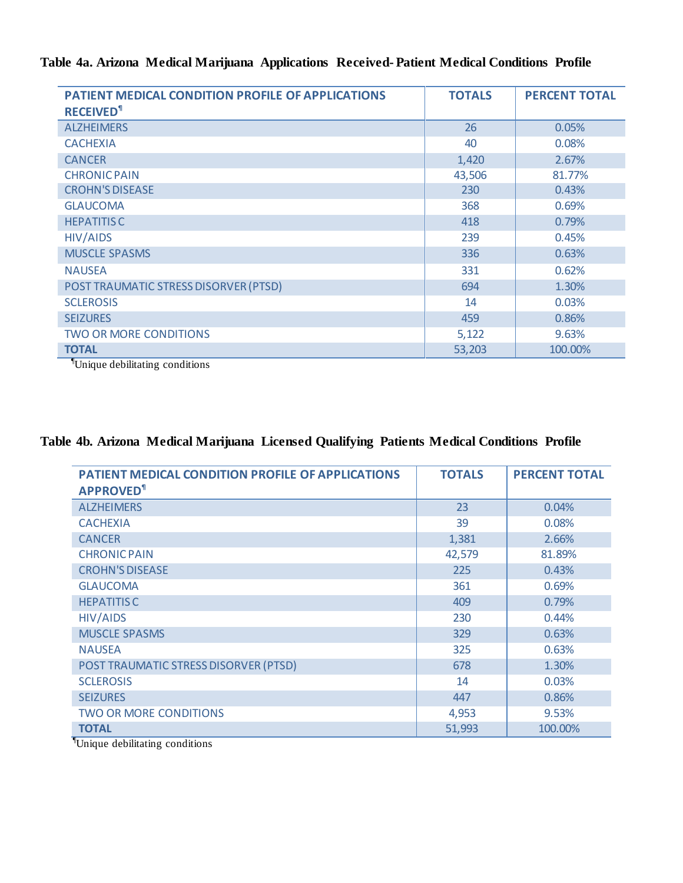# **Table 4a. Arizona Medical Marijuana Applications Received- Patient Medical Conditions Profile**

| PATIENT MEDICAL CONDITION PROFILE OF APPLICATIONS | <b>TOTALS</b> | <b>PERCENT TOTAL</b> |
|---------------------------------------------------|---------------|----------------------|
| <b>RECEIVED<sup>1</sup></b>                       |               |                      |
| <b>ALZHEIMERS</b>                                 | 26            | 0.05%                |
| <b>CACHEXIA</b>                                   | 40            | 0.08%                |
| <b>CANCER</b>                                     | 1,420         | 2.67%                |
| <b>CHRONIC PAIN</b>                               | 43,506        | 81.77%               |
| <b>CROHN'S DISEASE</b>                            | 230           | 0.43%                |
| <b>GLAUCOMA</b>                                   | 368           | 0.69%                |
| <b>HEPATITIS C</b>                                | 418           | 0.79%                |
| <b>HIV/AIDS</b>                                   | 239           | 0.45%                |
| <b>MUSCLE SPASMS</b>                              | 336           | 0.63%                |
| <b>NAUSEA</b>                                     | 331           | 0.62%                |
| POST TRAUMATIC STRESS DISORVER (PTSD)             | 694           | 1.30%                |
| <b>SCLEROSIS</b>                                  | 14            | 0.03%                |
| <b>SEIZURES</b>                                   | 459           | 0.86%                |
| <b>TWO OR MORE CONDITIONS</b>                     | 5,122         | 9.63%                |
| <b>TOTAL</b>                                      | 53,203        | 100.00%              |

¶Unique debilitating conditions

# **Table 4b. Arizona Medical Marijuana Licensed Qualifying Patients Medical Conditions Profile**

| PATIENT MEDICAL CONDITION PROFILE OF APPLICATIONS<br><b>APPROVED<sup>1</sup></b>                             | <b>TOTALS</b> | <b>PERCENT TOTAL</b> |
|--------------------------------------------------------------------------------------------------------------|---------------|----------------------|
| <b>ALZHEIMERS</b>                                                                                            | 23            | 0.04%                |
| <b>CACHEXIA</b>                                                                                              | 39            | 0.08%                |
| <b>CANCER</b>                                                                                                | 1,381         | 2.66%                |
| <b>CHRONIC PAIN</b>                                                                                          | 42,579        | 81.89%               |
| <b>CROHN'S DISEASE</b>                                                                                       | 225           | 0.43%                |
| <b>GLAUCOMA</b>                                                                                              | 361           | 0.69%                |
| <b>HEPATITISC</b>                                                                                            | 409           | 0.79%                |
| <b>HIV/AIDS</b>                                                                                              | 230           | 0.44%                |
| <b>MUSCLE SPASMS</b>                                                                                         | 329           | 0.63%                |
| <b>NAUSEA</b>                                                                                                | 325           | 0.63%                |
| POST TRAUMATIC STRESS DISORVER (PTSD)                                                                        | 678           | 1.30%                |
| <b>SCLEROSIS</b>                                                                                             | 14            | 0.03%                |
| <b>SEIZURES</b>                                                                                              | 447           | 0.86%                |
| <b>TWO OR MORE CONDITIONS</b>                                                                                | 4,953         | 9.53%                |
| <b>TOTAL</b><br>$\overline{\P_{\tau} \cdot \ldots}$<br>$\sim$ $\sim$ $\sim$ $\sim$ $\sim$ $\sim$<br>$\cdots$ | 51,993        | 100.00%              |

¶Unique debilitating conditions